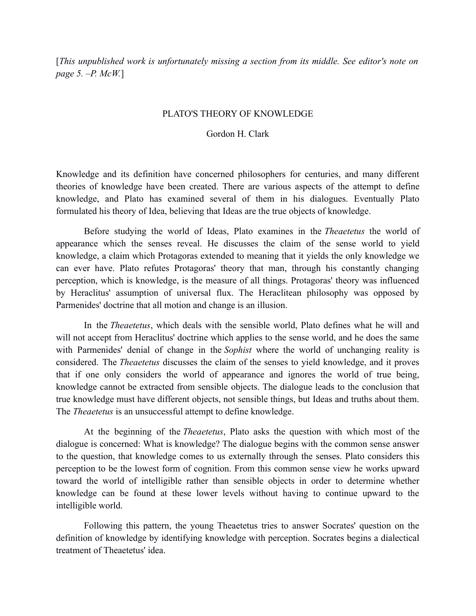[*This unpublished work is unfortunately missing a section from its middle. See editor's note on page 5. –P. McW.*]

## PLATO'S THEORY OF KNOWLEDGE

## Gordon H. Clark

Knowledge and its definition have concerned philosophers for centuries, and many different theories of knowledge have been created. There are various aspects of the attempt to define knowledge, and Plato has examined several of them in his dialogues. Eventually Plato formulated his theory of Idea, believing that Ideas are the true objects of knowledge.

Before studying the world of Ideas, Plato examines in the *Theaetetus* the world of appearance which the senses reveal. He discusses the claim of the sense world to yield knowledge, a claim which Protagoras extended to meaning that it yields the only knowledge we can ever have. Plato refutes Protagoras' theory that man, through his constantly changing perception, which is knowledge, is the measure of all things. Protagoras' theory was influenced by Heraclitus' assumption of universal flux. The Heraclitean philosophy was opposed by Parmenides' doctrine that all motion and change is an illusion.

In the *Theaetetus*, which deals with the sensible world, Plato defines what he will and will not accept from Heraclitus' doctrine which applies to the sense world, and he does the same with Parmenides' denial of change in the *Sophist* where the world of unchanging reality is considered. The *Theaetetus* discusses the claim of the senses to yield knowledge, and it proves that if one only considers the world of appearance and ignores the world of true being, knowledge cannot be extracted from sensible objects. The dialogue leads to the conclusion that true knowledge must have different objects, not sensible things, but Ideas and truths about them. The *Theaetetus* is an unsuccessful attempt to define knowledge.

At the beginning of the *Theaetetus*, Plato asks the question with which most of the dialogue is concerned: What is knowledge? The dialogue begins with the common sense answer to the question, that knowledge comes to us externally through the senses. Plato considers this perception to be the lowest form of cognition. From this common sense view he works upward toward the world of intelligible rather than sensible objects in order to determine whether knowledge can be found at these lower levels without having to continue upward to the intelligible world.

Following this pattern, the young Theaetetus tries to answer Socrates' question on the definition of knowledge by identifying knowledge with perception. Socrates begins a dialectical treatment of Theaetetus' idea.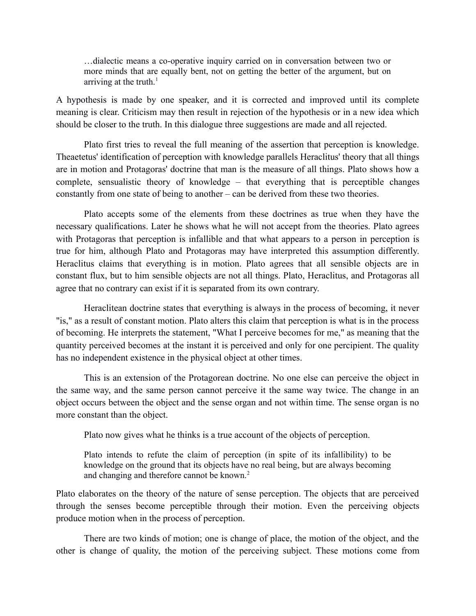…dialectic means a co-operative inquiry carried on in conversation between two or more minds that are equally bent, not on getting the better of the argument, but on arriving at the truth. $1$ 

A hypothesis is made by one speaker, and it is corrected and improved until its complete meaning is clear. Criticism may then result in rejection of the hypothesis or in a new idea which should be closer to the truth. In this dialogue three suggestions are made and all rejected.

Plato first tries to reveal the full meaning of the assertion that perception is knowledge. Theaetetus' identification of perception with knowledge parallels Heraclitus' theory that all things are in motion and Protagoras' doctrine that man is the measure of all things. Plato shows how a complete, sensualistic theory of knowledge – that everything that is perceptible changes constantly from one state of being to another – can be derived from these two theories.

Plato accepts some of the elements from these doctrines as true when they have the necessary qualifications. Later he shows what he will not accept from the theories. Plato agrees with Protagoras that perception is infallible and that what appears to a person in perception is true for him, although Plato and Protagoras may have interpreted this assumption differently. Heraclitus claims that everything is in motion. Plato agrees that all sensible objects are in constant flux, but to him sensible objects are not all things. Plato, Heraclitus, and Protagoras all agree that no contrary can exist if it is separated from its own contrary.

Heraclitean doctrine states that everything is always in the process of becoming, it never "is," as a result of constant motion. Plato alters this claim that perception is what is in the process of becoming. He interprets the statement, "What I perceive becomes for me," as meaning that the quantity perceived becomes at the instant it is perceived and only for one percipient. The quality has no independent existence in the physical object at other times.

This is an extension of the Protagorean doctrine. No one else can perceive the object in the same way, and the same person cannot perceive it the same way twice. The change in an object occurs between the object and the sense organ and not within time. The sense organ is no more constant than the object.

Plato now gives what he thinks is a true account of the objects of perception.

Plato intends to refute the claim of perception (in spite of its infallibility) to be knowledge on the ground that its objects have no real being, but are always becoming and changing and therefore cannot be known.<sup>2</sup>

Plato elaborates on the theory of the nature of sense perception. The objects that are perceived through the senses become perceptible through their motion. Even the perceiving objects produce motion when in the process of perception.

There are two kinds of motion; one is change of place, the motion of the object, and the other is change of quality, the motion of the perceiving subject. These motions come from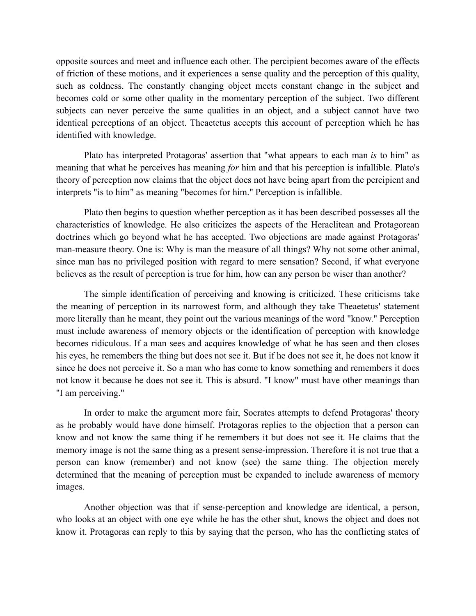opposite sources and meet and influence each other. The percipient becomes aware of the effects of friction of these motions, and it experiences a sense quality and the perception of this quality, such as coldness. The constantly changing object meets constant change in the subject and becomes cold or some other quality in the momentary perception of the subject. Two different subjects can never perceive the same qualities in an object, and a subject cannot have two identical perceptions of an object. Theaetetus accepts this account of perception which he has identified with knowledge.

Plato has interpreted Protagoras' assertion that "what appears to each man *is* to him" as meaning that what he perceives has meaning *for* him and that his perception is infallible. Plato's theory of perception now claims that the object does not have being apart from the percipient and interprets "is to him" as meaning "becomes for him." Perception is infallible.

Plato then begins to question whether perception as it has been described possesses all the characteristics of knowledge. He also criticizes the aspects of the Heraclitean and Protagorean doctrines which go beyond what he has accepted. Two objections are made against Protagoras' man-measure theory. One is: Why is man the measure of all things? Why not some other animal, since man has no privileged position with regard to mere sensation? Second, if what everyone believes as the result of perception is true for him, how can any person be wiser than another?

The simple identification of perceiving and knowing is criticized. These criticisms take the meaning of perception in its narrowest form, and although they take Theaetetus' statement more literally than he meant, they point out the various meanings of the word "know." Perception must include awareness of memory objects or the identification of perception with knowledge becomes ridiculous. If a man sees and acquires knowledge of what he has seen and then closes his eyes, he remembers the thing but does not see it. But if he does not see it, he does not know it since he does not perceive it. So a man who has come to know something and remembers it does not know it because he does not see it. This is absurd. "I know" must have other meanings than "I am perceiving."

In order to make the argument more fair, Socrates attempts to defend Protagoras' theory as he probably would have done himself. Protagoras replies to the objection that a person can know and not know the same thing if he remembers it but does not see it. He claims that the memory image is not the same thing as a present sense-impression. Therefore it is not true that a person can know (remember) and not know (see) the same thing. The objection merely determined that the meaning of perception must be expanded to include awareness of memory images.

Another objection was that if sense-perception and knowledge are identical, a person, who looks at an object with one eye while he has the other shut, knows the object and does not know it. Protagoras can reply to this by saying that the person, who has the conflicting states of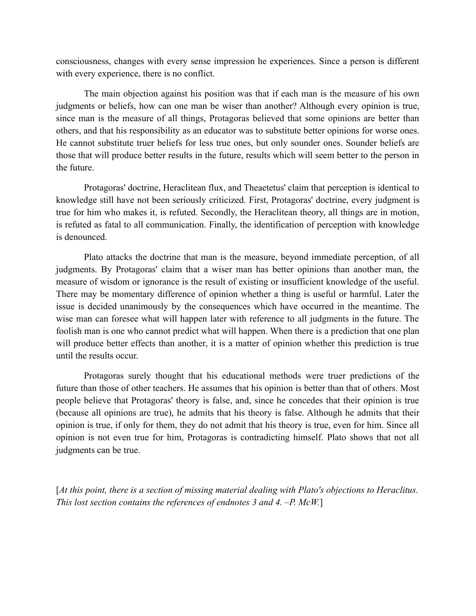consciousness, changes with every sense impression he experiences. Since a person is different with every experience, there is no conflict.

The main objection against his position was that if each man is the measure of his own judgments or beliefs, how can one man be wiser than another? Although every opinion is true, since man is the measure of all things, Protagoras believed that some opinions are better than others, and that his responsibility as an educator was to substitute better opinions for worse ones. He cannot substitute truer beliefs for less true ones, but only sounder ones. Sounder beliefs are those that will produce better results in the future, results which will seem better to the person in the future.

Protagoras' doctrine, Heraclitean flux, and Theaetetus' claim that perception is identical to knowledge still have not been seriously criticized. First, Protagoras' doctrine, every judgment is true for him who makes it, is refuted. Secondly, the Heraclitean theory, all things are in motion, is refuted as fatal to all communication. Finally, the identification of perception with knowledge is denounced.

Plato attacks the doctrine that man is the measure, beyond immediate perception, of all judgments. By Protagoras' claim that a wiser man has better opinions than another man, the measure of wisdom or ignorance is the result of existing or insufficient knowledge of the useful. There may be momentary difference of opinion whether a thing is useful or harmful. Later the issue is decided unanimously by the consequences which have occurred in the meantime. The wise man can foresee what will happen later with reference to all judgments in the future. The foolish man is one who cannot predict what will happen. When there is a prediction that one plan will produce better effects than another, it is a matter of opinion whether this prediction is true until the results occur.

Protagoras surely thought that his educational methods were truer predictions of the future than those of other teachers. He assumes that his opinion is better than that of others. Most people believe that Protagoras' theory is false, and, since he concedes that their opinion is true (because all opinions are true), he admits that his theory is false. Although he admits that their opinion is true, if only for them, they do not admit that his theory is true, even for him. Since all opinion is not even true for him, Protagoras is contradicting himself. Plato shows that not all judgments can be true.

[*At this point, there is a section of missing material dealing with Plato's objections to Heraclitus. This lost section contains the references of endnotes 3 and 4. –P. McW.*]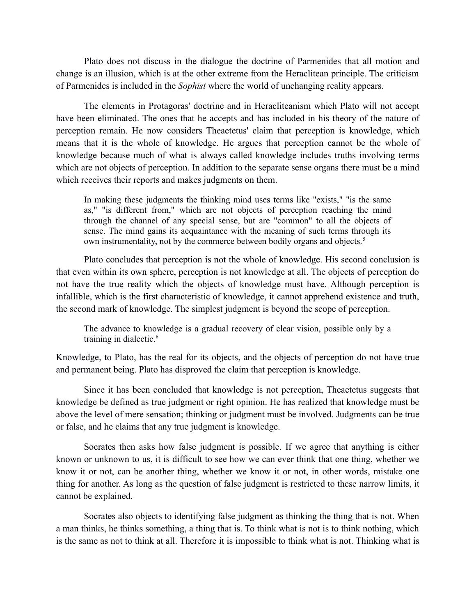Plato does not discuss in the dialogue the doctrine of Parmenides that all motion and change is an illusion, which is at the other extreme from the Heraclitean principle. The criticism of Parmenides is included in the *Sophist* where the world of unchanging reality appears.

The elements in Protagoras' doctrine and in Heracliteanism which Plato will not accept have been eliminated. The ones that he accepts and has included in his theory of the nature of perception remain. He now considers Theaetetus' claim that perception is knowledge, which means that it is the whole of knowledge. He argues that perception cannot be the whole of knowledge because much of what is always called knowledge includes truths involving terms which are not objects of perception. In addition to the separate sense organs there must be a mind which receives their reports and makes judgments on them.

In making these judgments the thinking mind uses terms like "exists," "is the same as," "is different from," which are not objects of perception reaching the mind through the channel of any special sense, but are "common" to all the objects of sense. The mind gains its acquaintance with the meaning of such terms through its own instrumentality, not by the commerce between bodily organs and objects.<sup>5</sup>

Plato concludes that perception is not the whole of knowledge. His second conclusion is that even within its own sphere, perception is not knowledge at all. The objects of perception do not have the true reality which the objects of knowledge must have. Although perception is infallible, which is the first characteristic of knowledge, it cannot apprehend existence and truth, the second mark of knowledge. The simplest judgment is beyond the scope of perception.

The advance to knowledge is a gradual recovery of clear vision, possible only by a training in dialectic.<sup>6</sup>

Knowledge, to Plato, has the real for its objects, and the objects of perception do not have true and permanent being. Plato has disproved the claim that perception is knowledge.

Since it has been concluded that knowledge is not perception, Theaetetus suggests that knowledge be defined as true judgment or right opinion. He has realized that knowledge must be above the level of mere sensation; thinking or judgment must be involved. Judgments can be true or false, and he claims that any true judgment is knowledge.

Socrates then asks how false judgment is possible. If we agree that anything is either known or unknown to us, it is difficult to see how we can ever think that one thing, whether we know it or not, can be another thing, whether we know it or not, in other words, mistake one thing for another. As long as the question of false judgment is restricted to these narrow limits, it cannot be explained.

Socrates also objects to identifying false judgment as thinking the thing that is not. When a man thinks, he thinks something, a thing that is. To think what is not is to think nothing, which is the same as not to think at all. Therefore it is impossible to think what is not. Thinking what is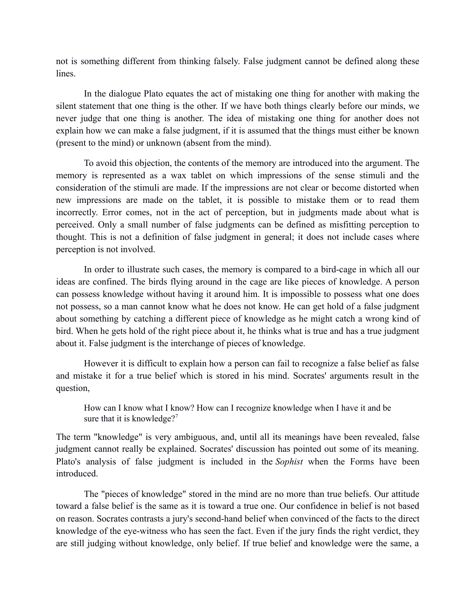not is something different from thinking falsely. False judgment cannot be defined along these lines.

In the dialogue Plato equates the act of mistaking one thing for another with making the silent statement that one thing is the other. If we have both things clearly before our minds, we never judge that one thing is another. The idea of mistaking one thing for another does not explain how we can make a false judgment, if it is assumed that the things must either be known (present to the mind) or unknown (absent from the mind).

To avoid this objection, the contents of the memory are introduced into the argument. The memory is represented as a wax tablet on which impressions of the sense stimuli and the consideration of the stimuli are made. If the impressions are not clear or become distorted when new impressions are made on the tablet, it is possible to mistake them or to read them incorrectly. Error comes, not in the act of perception, but in judgments made about what is perceived. Only a small number of false judgments can be defined as misfitting perception to thought. This is not a definition of false judgment in general; it does not include cases where perception is not involved.

In order to illustrate such cases, the memory is compared to a bird-cage in which all our ideas are confined. The birds flying around in the cage are like pieces of knowledge. A person can possess knowledge without having it around him. It is impossible to possess what one does not possess, so a man cannot know what he does not know. He can get hold of a false judgment about something by catching a different piece of knowledge as he might catch a wrong kind of bird. When he gets hold of the right piece about it, he thinks what is true and has a true judgment about it. False judgment is the interchange of pieces of knowledge.

However it is difficult to explain how a person can fail to recognize a false belief as false and mistake it for a true belief which is stored in his mind. Socrates' arguments result in the question,

How can I know what I know? How can I recognize knowledge when I have it and be sure that it is knowledge?<sup>7</sup>

The term "knowledge" is very ambiguous, and, until all its meanings have been revealed, false judgment cannot really be explained. Socrates' discussion has pointed out some of its meaning. Plato's analysis of false judgment is included in the *Sophist* when the Forms have been introduced.

The "pieces of knowledge" stored in the mind are no more than true beliefs. Our attitude toward a false belief is the same as it is toward a true one. Our confidence in belief is not based on reason. Socrates contrasts a jury's second-hand belief when convinced of the facts to the direct knowledge of the eye-witness who has seen the fact. Even if the jury finds the right verdict, they are still judging without knowledge, only belief. If true belief and knowledge were the same, a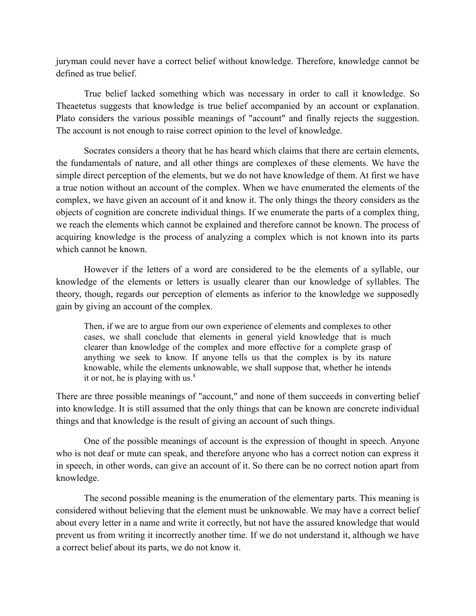juryman could never have a correct belief without knowledge. Therefore, knowledge cannot be defined as true belief.

True belief lacked something which was necessary in order to call it knowledge. So Theaetetus suggests that knowledge is true belief accompanied by an account or explanation. Plato considers the various possible meanings of "account" and finally rejects the suggestion. The account is not enough to raise correct opinion to the level of knowledge.

Socrates considers a theory that he has heard which claims that there are certain elements, the fundamentals of nature, and all other things are complexes of these elements. We have the simple direct perception of the elements, but we do not have knowledge of them. At first we have a true notion without an account of the complex. When we have enumerated the elements of the complex, we have given an account of it and know it. The only things the theory considers as the objects of cognition are concrete individual things. If we enumerate the parts of a complex thing, we reach the elements which cannot be explained and therefore cannot be known. The process of acquiring knowledge is the process of analyzing a complex which is not known into its parts which cannot be known.

However if the letters of a word are considered to be the elements of a syllable, our knowledge of the elements or letters is usually clearer than our knowledge of syllables. The theory, though, regards our perception of elements as inferior to the knowledge we supposedly gain by giving an account of the complex.

Then, if we are to argue from our own experience of elements and complexes to other cases, we shall conclude that elements in general yield knowledge that is much clearer than knowledge of the complex and more effective for a complete grasp of anything we seek to know. If anyone tells us that the complex is by its nature knowable, while the elements unknowable, we shall suppose that, whether he intends it or not, he is playing with us. $8$ 

There are three possible meanings of "account," and none of them succeeds in converting belief into knowledge. It is still assumed that the only things that can be known are concrete individual things and that knowledge is the result of giving an account of such things.

One of the possible meanings of account is the expression of thought in speech. Anyone who is not deaf or mute can speak, and therefore anyone who has a correct notion can express it in speech, in other words, can give an account of it. So there can be no correct notion apart from knowledge.

The second possible meaning is the enumeration of the elementary parts. This meaning is considered without believing that the element must be unknowable. We may have a correct belief about every letter in a name and write it correctly, but not have the assured knowledge that would prevent us from writing it incorrectly another time. If we do not understand it, although we have a correct belief about its parts, we do not know it.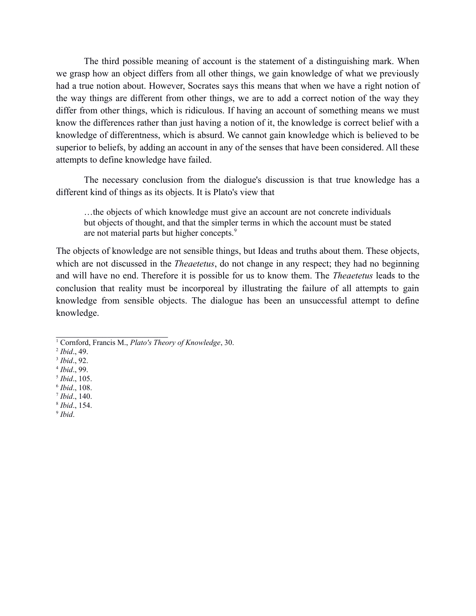The third possible meaning of account is the statement of a distinguishing mark. When we grasp how an object differs from all other things, we gain knowledge of what we previously had a true notion about. However, Socrates says this means that when we have a right notion of the way things are different from other things, we are to add a correct notion of the way they differ from other things, which is ridiculous. If having an account of something means we must know the differences rather than just having a notion of it, the knowledge is correct belief with a knowledge of differentness, which is absurd. We cannot gain knowledge which is believed to be superior to beliefs, by adding an account in any of the senses that have been considered. All these attempts to define knowledge have failed.

The necessary conclusion from the dialogue's discussion is that true knowledge has a different kind of things as its objects. It is Plato's view that

…the objects of which knowledge must give an account are not concrete individuals but objects of thought, and that the simpler terms in which the account must be stated are not material parts but higher concepts.<sup>9</sup>

The objects of knowledge are not sensible things, but Ideas and truths about them. These objects, which are not discussed in the *Theaetetus*, do not change in any respect; they had no beginning and will have no end. Therefore it is possible for us to know them. The *Theaetetus* leads to the conclusion that reality must be incorporeal by illustrating the failure of all attempts to gain knowledge from sensible objects. The dialogue has been an unsuccessful attempt to define knowledge.

 $\mathcal{L}_\text{max}$ 

<sup>1</sup> Cornford, Francis M., *Plato's Theory of Knowledge*, 30.

<sup>2</sup> *Ibid*., 49.

<sup>3</sup> *Ibid*., 92.

<sup>4</sup>  *Ibid*., 99.

<sup>5</sup>  *Ibid*., 105.

<sup>6</sup> *Ibid*., 108. 7 *Ibid*., 140.

<sup>8</sup> *Ibid*., 154.

<sup>9</sup>  *Ibid*.